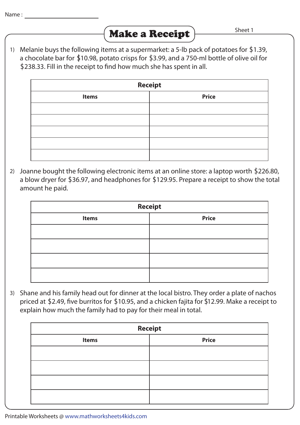

1) Melanie buys the following items at a supermarket: a 5-lb pack of potatoes for \$1.39, a chocolate bar for \$10.98, potato crisps for \$3.99, and a 750-ml bottle of olive oil for \$238.33. Fill in the receipt to find how much she has spent in all.

| <b>Receipt</b> |              |  |
|----------------|--------------|--|
| <b>Items</b>   | <b>Price</b> |  |
|                |              |  |
|                |              |  |
|                |              |  |
|                |              |  |
|                |              |  |

2) Joanne bought the following electronic items at an online store: a laptop worth \$226.80, a blow dryer for \$36.97, and headphones for \$129.95. Prepare a receipt to show the total amount he paid.

| <b>Receipt</b> |              |  |
|----------------|--------------|--|
| <b>Items</b>   | <b>Price</b> |  |
|                |              |  |
|                |              |  |
|                |              |  |
|                |              |  |

3) Shane and his family head out for dinner at the local bistro. They order a plate of nachos priced at \$2.49, five burritos for \$10.95, and a chicken fajita for \$12.99. Make a receipt to explain how much the family had to pay for their meal in total.

| <b>Receipt</b> |              |  |
|----------------|--------------|--|
| <b>Items</b>   | <b>Price</b> |  |
|                |              |  |
|                |              |  |
|                |              |  |
|                |              |  |

Printable Worksheets @ www.mathworksheets4kids.com